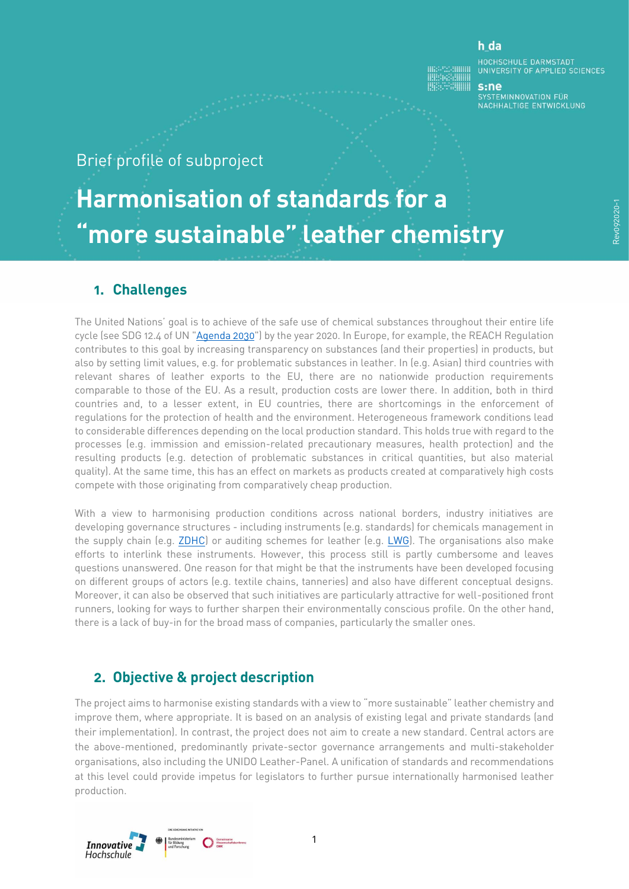#### h da

HOCHSCHULE DARMSTADT<br>UNIVERSITY OF APPLIED SCIENCES

 $s:ne$ -----<br>SYSTEMINNOVATION FÜR<br>NACHHALTIGE ENTWICKLUNG

## Brief profile of subproject

# **Harmonisation of standards for a "more sustainable" leather chemistry**

#### **1. Challenges**

The United Nations' goal is to achieve of the safe use of chemical substances throughout their entire life cycle (see SDG 12.4 of UN ["Agenda 2030"](https://www.un.org/Depts/german/gv-70/band1/ar70001.pdf)) by the year 2020. In Europe, for example, the REACH Regulation contributes to this goal by increasing transparency on substances (and their properties) in products, but also by setting limit values, e.g. for problematic substances in leather. In (e.g. Asian) third countries with relevant shares of leather exports to the EU, there are no nationwide production requirements comparable to those of the EU. As a result, production costs are lower there. In addition, both in third countries and, to a lesser extent, in EU countries, there are shortcomings in the enforcement of regulations for the protection of health and the environment. Heterogeneous framework conditions lead to considerable differences depending on the local production standard. This holds true with regard to the processes (e.g. immission and emission-related precautionary measures, health protection) and the resulting products (e.g. detection of problematic substances in critical quantities, but also material quality). At the same time, this has an effect on markets as products created at comparatively high costs compete with those originating from comparatively cheap production.

With a view to harmonising production conditions across national borders, industry initiatives are developing governance structures - including instruments (e.g. standards) for chemicals management in the supply chain (e.g. [ZDHC\)](https://www.roadmaptozero.com/) or auditing schemes for leather (e.g. [LWG\)](https://www.leatherworkinggroup.com/). The organisations also make efforts to interlink these instruments. However, this process still is partly cumbersome and leaves questions unanswered. One reason for that might be that the instruments have been developed focusing on different groups of actors (e.g. textile chains, tanneries) and also have different conceptual designs. Moreover, it can also be observed that such initiatives are particularly attractive for well-positioned front runners, looking for ways to further sharpen their environmentally conscious profile. On the other hand, there is a lack of buy-in for the broad mass of companies, particularly the smaller ones.

#### **2. Objective & project description**

The project aims to harmonise existing standards with a view to "more sustainable" leather chemistry and improve them, where appropriate. It is based on an analysis of existing legal and private standards (and their implementation). In contrast, the project does not aim to create a new standard. Central actors are the above-mentioned, predominantly private-sector governance arrangements and multi-stakeholder organisations, also including the UNIDO Leather-Panel. A unification of standards and recommendations at this level could provide impetus for legislators to further pursue internationally harmonised leather production.

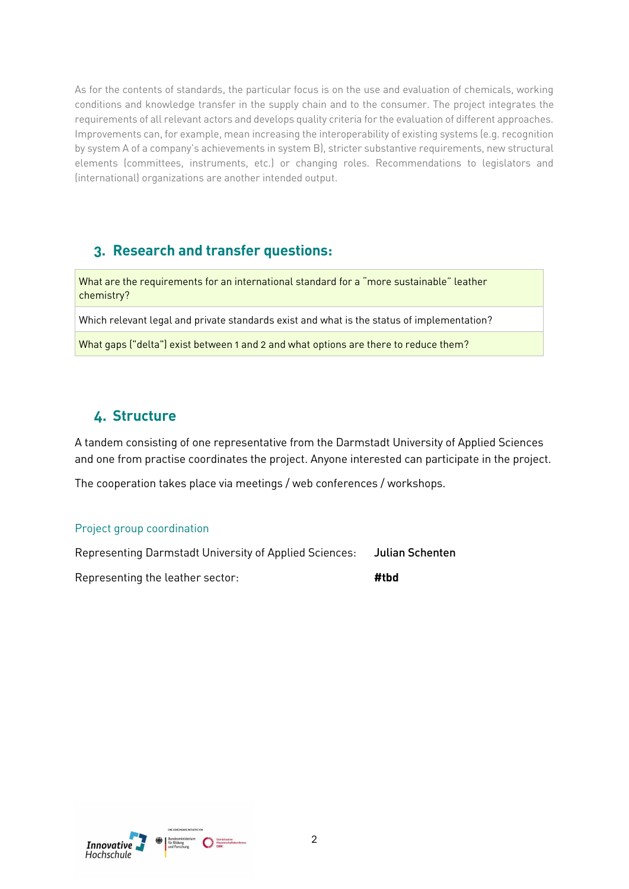As for the contents of standards, the particular focus is on the use and evaluation of chemicals, working conditions and knowledge transfer in the supply chain and to the consumer. The project integrates the requirements of all relevant actors and develops quality criteria for the evaluation of different approaches. Improvements can, for example, mean increasing the interoperability of existing systems (e.g. recognition by system A of a company's achievements in system B), stricter substantive requirements, new structural elements (committees, instruments, etc.) or changing roles. Recommendations to legislators and (international) organizations are another intended output.

#### **3. Research and transfer questions:**

What are the requirements for an international standard for a "more sustainable" leather chemistry?

Which relevant legal and private standards exist and what is the status of implementation?

What gaps ("delta") exist between 1 and 2 and what options are there to reduce them?

### **4. Structure**

A tandem consisting of one representative from the Darmstadt University of Applied Sciences and one from practise coordinates the project. Anyone interested can participate in the project.

The cooperation takes place via meetings / web conferences / workshops.

#### Project group coordination

Representing Darmstadt University of Applied Sciences: **Julian Schenten**

Representing the leather sector: **#tbd**